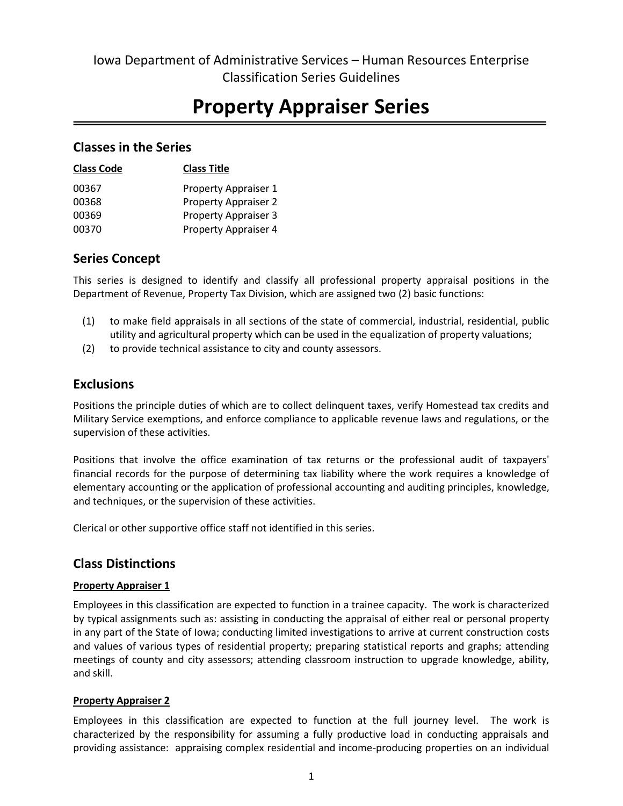# **Property Appraiser Series**

## **Classes in the Series**

| <b>Class Code</b> | <b>Class Title</b>          |
|-------------------|-----------------------------|
| 00367             | Property Appraiser 1        |
| 00368             | <b>Property Appraiser 2</b> |
| 00369             | <b>Property Appraiser 3</b> |
| 00370             | Property Appraiser 4        |

## **Series Concept**

This series is designed to identify and classify all professional property appraisal positions in the Department of Revenue, Property Tax Division, which are assigned two (2) basic functions:

- (1) to make field appraisals in all sections of the state of commercial, industrial, residential, public utility and agricultural property which can be used in the equalization of property valuations;
- (2) to provide technical assistance to city and county assessors.

## **Exclusions**

Positions the principle duties of which are to collect delinquent taxes, verify Homestead tax credits and Military Service exemptions, and enforce compliance to applicable revenue laws and regulations, or the supervision of these activities.

Positions that involve the office examination of tax returns or the professional audit of taxpayers' financial records for the purpose of determining tax liability where the work requires a knowledge of elementary accounting or the application of professional accounting and auditing principles, knowledge, and techniques, or the supervision of these activities.

Clerical or other supportive office staff not identified in this series.

# **Class Distinctions**

## **Property Appraiser 1**

Employees in this classification are expected to function in a trainee capacity. The work is characterized by typical assignments such as: assisting in conducting the appraisal of either real or personal property in any part of the State of Iowa; conducting limited investigations to arrive at current construction costs and values of various types of residential property; preparing statistical reports and graphs; attending meetings of county and city assessors; attending classroom instruction to upgrade knowledge, ability, and skill.

## **Property Appraiser 2**

Employees in this classification are expected to function at the full journey level. The work is characterized by the responsibility for assuming a fully productive load in conducting appraisals and providing assistance: appraising complex residential and income-producing properties on an individual